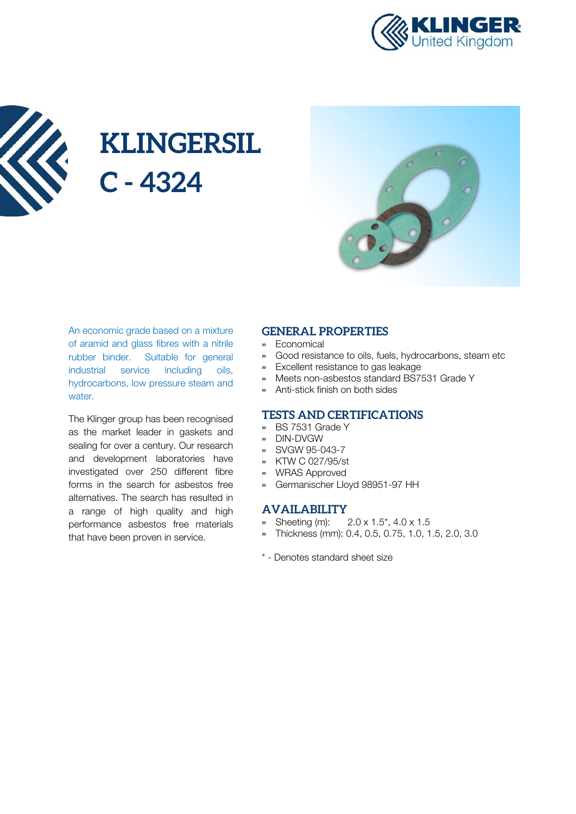



# **KLINGERSIL C - 4324**



An economic grade based on a mixture of aramid and glass fibres with a nitrile rubber binder. Suitable for general industrial service including oils, hydrocarbons, low pressure steam and water.

The Klinger group has been recognised as the market leader in gaskets and sealing for over a century. Our research and development laboratories have investigated over 250 different fibre forms in the search for asbestos free alternatives. The search has resulted in a range of high quality and high performance asbestos free materials that have been proven in service.

#### **GENERAL PROPERTIES**

- » Economical
- » Good resistance to oils, fuels, hydrocarbons, steam etc
- » Excellent resistance to gas leakage
- » Meets non-asbestos standard BS7531 Grade Y
- » Anti-stick finish on both sides

#### **TESTS AND CERTIFICATIONS**

- » BS 7531 Grade Y
- » DIN-DVGW
- » SVGW 95-043-7
- » KTW C 027/95/st
- » WRAS Approved
- » Germanischer Lloyd 98951-97 HH

#### **AVAILABILITY**

- » Sheeting (m): 2.0 x 1.5\*, 4.0 x 1.5
- » Thickness (mm): 0.4, 0.5, 0.75, 1.0, 1.5, 2.0, 3.0
- \* Denotes standard sheet size